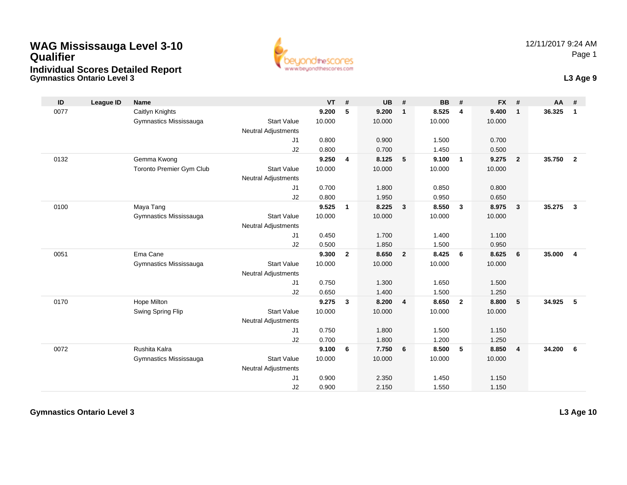# **WAG Mississauga Level 3-10 QualifierIndividual Scores Detailed Report**

**Gymnastics Ontario Level 3**



| ID   | League ID | <b>Name</b>              |                            | VT     | #              | <b>UB</b> | #              | <b>BB</b> | #              | <b>FX</b> | #              | $AA$ # |                |
|------|-----------|--------------------------|----------------------------|--------|----------------|-----------|----------------|-----------|----------------|-----------|----------------|--------|----------------|
| 0077 |           | Caitlyn Knights          |                            | 9.200  | 5              | 9.200     | $\mathbf{1}$   | 8.525     | $\overline{4}$ | 9.400     | $\mathbf{1}$   | 36.325 | $\mathbf{1}$   |
|      |           | Gymnastics Mississauga   | <b>Start Value</b>         | 10.000 |                | 10.000    |                | 10.000    |                | 10.000    |                |        |                |
|      |           |                          | <b>Neutral Adjustments</b> |        |                |           |                |           |                |           |                |        |                |
|      |           |                          | J1                         | 0.800  |                | 0.900     |                | 1.500     |                | 0.700     |                |        |                |
|      |           |                          | J2                         | 0.800  |                | 0.700     |                | 1.450     |                | 0.500     |                |        |                |
| 0132 |           | Gemma Kwong              |                            | 9.250  | 4              | 8.125     | 5              | 9.100     | $\overline{1}$ | 9.275     | $\overline{2}$ | 35.750 | $\overline{2}$ |
|      |           | Toronto Premier Gym Club | <b>Start Value</b>         | 10.000 |                | 10.000    |                | 10.000    |                | 10.000    |                |        |                |
|      |           |                          | <b>Neutral Adjustments</b> |        |                |           |                |           |                |           |                |        |                |
|      |           |                          | J1                         | 0.700  |                | 1.800     |                | 0.850     |                | 0.800     |                |        |                |
|      |           |                          | J2                         | 0.800  |                | 1.950     |                | 0.950     |                | 0.650     |                |        |                |
| 0100 |           | Maya Tang                |                            | 9.525  | 1              | 8.225     | $\mathbf{3}$   | 8.550     | $\mathbf{3}$   | 8.975     | $\mathbf{3}$   | 35.275 | $\mathbf{3}$   |
|      |           | Gymnastics Mississauga   | <b>Start Value</b>         | 10.000 |                | 10.000    |                | 10.000    |                | 10.000    |                |        |                |
|      |           |                          | <b>Neutral Adjustments</b> |        |                |           |                |           |                |           |                |        |                |
|      |           |                          | J1                         | 0.450  |                | 1.700     |                | 1.400     |                | 1.100     |                |        |                |
|      |           |                          | J2                         | 0.500  |                | 1.850     |                | 1.500     |                | 0.950     |                |        |                |
| 0051 |           | Ema Cane                 |                            | 9.300  | $\overline{2}$ | 8.650     | $\overline{2}$ | 8.425     | 6              | 8.625     | 6              | 35.000 | $\overline{4}$ |
|      |           | Gymnastics Mississauga   | <b>Start Value</b>         | 10.000 |                | 10.000    |                | 10.000    |                | 10.000    |                |        |                |
|      |           |                          | <b>Neutral Adjustments</b> |        |                |           |                |           |                |           |                |        |                |
|      |           |                          | J1                         | 0.750  |                | 1.300     |                | 1.650     |                | 1.500     |                |        |                |
|      |           |                          | J2                         | 0.650  |                | 1.400     |                | 1.500     |                | 1.250     |                |        |                |
| 0170 |           | Hope Milton              |                            | 9.275  | $\mathbf{3}$   | 8.200     | $\overline{4}$ | 8.650     | $\overline{2}$ | 8.800     | 5              | 34.925 | 5              |
|      |           | Swing Spring Flip        | <b>Start Value</b>         | 10.000 |                | 10.000    |                | 10.000    |                | 10.000    |                |        |                |
|      |           |                          | <b>Neutral Adjustments</b> |        |                |           |                |           |                |           |                |        |                |
|      |           |                          | J1                         | 0.750  |                | 1.800     |                | 1.500     |                | 1.150     |                |        |                |
|      |           |                          | J2                         | 0.700  |                | 1.800     |                | 1.200     |                | 1.250     |                |        |                |
| 0072 |           | Rushita Kalra            |                            | 9.100  | 6              | 7.750     | 6              | 8.500     | 5              | 8.850     | $\overline{4}$ | 34.200 | 6              |
|      |           | Gymnastics Mississauga   | <b>Start Value</b>         | 10.000 |                | 10.000    |                | 10.000    |                | 10.000    |                |        |                |
|      |           |                          | <b>Neutral Adjustments</b> |        |                |           |                |           |                |           |                |        |                |
|      |           |                          | J1                         | 0.900  |                | 2.350     |                | 1.450     |                | 1.150     |                |        |                |
|      |           |                          | J2                         | 0.900  |                | 2.150     |                | 1.550     |                | 1.150     |                |        |                |

**Gymnastics Ontario Level 3**

**L3 Age 10**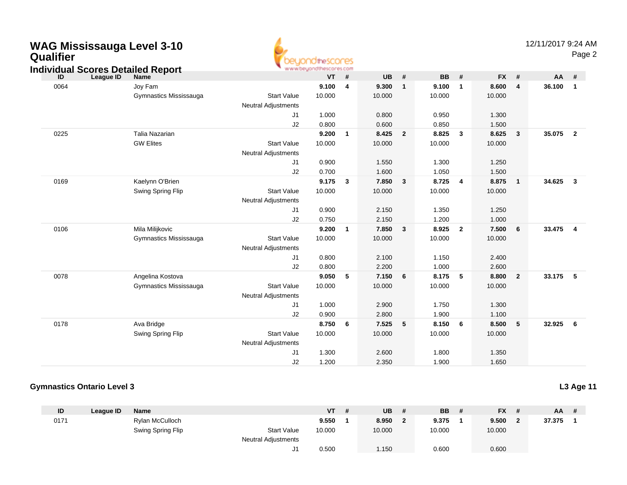# **WAG Mississauga Level 3-10 Qualifier**



Page 2

#### **Individual Scores Detailed Report**

| ID   | League ID | Name                   |                            | VT     | #            | UB     | #              | BB     | #               | <b>FX</b> | #                          | AA     | #                       |
|------|-----------|------------------------|----------------------------|--------|--------------|--------|----------------|--------|-----------------|-----------|----------------------------|--------|-------------------------|
| 0064 |           | Joy Fam                |                            | 9.100  | 4            | 9.300  | $\mathbf{1}$   | 9.100  | $\overline{1}$  | 8.600     | $\overline{4}$             | 36.100 | $\mathbf{1}$            |
|      |           | Gymnastics Mississauga | <b>Start Value</b>         | 10.000 |              | 10.000 |                | 10.000 |                 | 10.000    |                            |        |                         |
|      |           |                        | Neutral Adjustments        |        |              |        |                |        |                 |           |                            |        |                         |
|      |           |                        | J1                         | 1.000  |              | 0.800  |                | 0.950  |                 | 1.300     |                            |        |                         |
|      |           |                        | J2                         | 0.800  |              | 0.600  |                | 0.850  |                 | 1.500     |                            |        |                         |
| 0225 |           | Talia Nazarian         |                            | 9.200  | $\mathbf{1}$ | 8.425  | $\overline{2}$ | 8.825  | $\mathbf{3}$    | 8.625     | $\overline{\mathbf{3}}$    | 35.075 | $\overline{\mathbf{2}}$ |
|      |           | <b>GW Elites</b>       | <b>Start Value</b>         | 10.000 |              | 10.000 |                | 10.000 |                 | 10.000    |                            |        |                         |
|      |           |                        | <b>Neutral Adjustments</b> |        |              |        |                |        |                 |           |                            |        |                         |
|      |           |                        | J <sub>1</sub>             | 0.900  |              | 1.550  |                | 1.300  |                 | 1.250     |                            |        |                         |
|      |           |                        | J2                         | 0.700  |              | 1.600  |                | 1.050  |                 | 1.500     |                            |        |                         |
| 0169 |           | Kaelynn O'Brien        |                            | 9.175  | 3            | 7.850  | 3              | 8.725  | $\overline{4}$  | 8.875     | $\overline{\phantom{0}}$ 1 | 34.625 | $\mathbf{3}$            |
|      |           | Swing Spring Flip      | <b>Start Value</b>         | 10.000 |              | 10.000 |                | 10.000 |                 | 10.000    |                            |        |                         |
|      |           |                        | <b>Neutral Adjustments</b> |        |              |        |                |        |                 |           |                            |        |                         |
|      |           |                        | J <sub>1</sub>             | 0.900  |              | 2.150  |                | 1.350  |                 | 1.250     |                            |        |                         |
|      |           |                        | J2                         | 0.750  |              | 2.150  |                | 1.200  |                 | 1.000     |                            |        |                         |
| 0106 |           | Mila Milijkovic        |                            | 9.200  | $\mathbf{1}$ | 7.850  | $\mathbf{3}$   | 8.925  | $\overline{2}$  | 7.500     | 6                          | 33.475 | $\overline{4}$          |
|      |           | Gymnastics Mississauga | <b>Start Value</b>         | 10.000 |              | 10.000 |                | 10.000 |                 | 10.000    |                            |        |                         |
|      |           |                        | <b>Neutral Adjustments</b> |        |              |        |                |        |                 |           |                            |        |                         |
|      |           |                        | J <sub>1</sub>             | 0.800  |              | 2.100  |                | 1.150  |                 | 2.400     |                            |        |                         |
|      |           |                        | J2                         | 0.800  |              | 2.200  |                | 1.000  |                 | 2.600     |                            |        |                         |
| 0078 |           | Angelina Kostova       |                            | 9.050  | 5            | 7.150  | 6              | 8.175  | $5\phantom{.0}$ | 8.800     | $\overline{2}$             | 33.175 | 5                       |
|      |           | Gymnastics Mississauga | <b>Start Value</b>         | 10.000 |              | 10.000 |                | 10.000 |                 | 10.000    |                            |        |                         |
|      |           |                        | Neutral Adjustments        |        |              |        |                |        |                 |           |                            |        |                         |
|      |           |                        | J <sub>1</sub>             | 1.000  |              | 2.900  |                | 1.750  |                 | 1.300     |                            |        |                         |
|      |           |                        | J2                         | 0.900  |              | 2.800  |                | 1.900  |                 | 1.100     |                            |        |                         |
| 0178 |           | Ava Bridge             |                            | 8.750  | 6            | 7.525  | 5              | 8.150  | 6               | 8.500     | 5                          | 32.925 | - 6                     |
|      |           | Swing Spring Flip      | <b>Start Value</b>         | 10.000 |              | 10.000 |                | 10.000 |                 | 10.000    |                            |        |                         |
|      |           |                        | <b>Neutral Adjustments</b> |        |              |        |                |        |                 |           |                            |        |                         |
|      |           |                        | J <sub>1</sub>             | 1.300  |              | 2.600  |                | 1.800  |                 | 1.350     |                            |        |                         |
|      |           |                        | J <sub>2</sub>             | 1.200  |              | 2.350  |                | 1.900  |                 | 1.650     |                            |        |                         |

#### **Gymnastics Ontario Level 3**

**L3 Age 11**

| ID   | League ID | <b>Name</b>       |                            | VT     | -# | <b>UB</b> | -# | <b>BB</b> | <b>FX</b> | # | $AA$ # |  |
|------|-----------|-------------------|----------------------------|--------|----|-----------|----|-----------|-----------|---|--------|--|
| 0171 |           | Rylan McCulloch   |                            | 9.550  |    | 8.950     |    | 9.375     | 9.500     |   | 37.375 |  |
|      |           | Swing Spring Flip | <b>Start Value</b>         | 10.000 |    | 10.000    |    | 10.000    | 10.000    |   |        |  |
|      |           |                   | <b>Neutral Adjustments</b> |        |    |           |    |           |           |   |        |  |
|      |           |                   | J <sub>1</sub>             | 0.500  |    | 1.150     |    | 0.600     | 0.600     |   |        |  |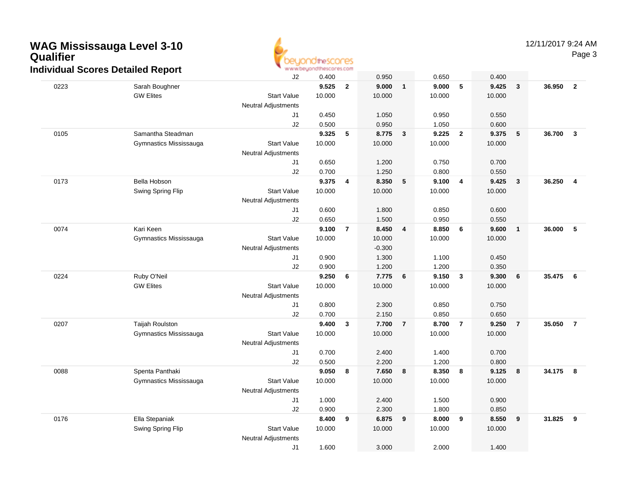### **WAG Mississauga Level 3-10 QualifierIndividual Scores Detailed Report**



Page 3

|      | aar 000100 Dotanoa Roport | J2                         | 0.400  |                | 0.950    |                | 0.650  |                | 0.400  |                         |        |                         |
|------|---------------------------|----------------------------|--------|----------------|----------|----------------|--------|----------------|--------|-------------------------|--------|-------------------------|
| 0223 | Sarah Boughner            |                            | 9.525  | $\overline{2}$ | 9.000    | $\mathbf{1}$   | 9.000  | 5              | 9.425  | $\overline{\mathbf{3}}$ | 36.950 | $\overline{2}$          |
|      | <b>GW Elites</b>          | <b>Start Value</b>         | 10.000 |                | 10.000   |                | 10.000 |                | 10.000 |                         |        |                         |
|      |                           | <b>Neutral Adjustments</b> |        |                |          |                |        |                |        |                         |        |                         |
|      |                           | J1                         | 0.450  |                | 1.050    |                | 0.950  |                | 0.550  |                         |        |                         |
|      |                           | J2                         | 0.500  |                | 0.950    |                | 1.050  |                | 0.600  |                         |        |                         |
| 0105 | Samantha Steadman         |                            | 9.325  | 5              | 8.775    | 3              | 9.225  | $\overline{2}$ | 9.375  | 5                       | 36.700 | $\overline{\mathbf{3}}$ |
|      | Gymnastics Mississauga    | <b>Start Value</b>         | 10.000 |                | 10.000   |                | 10.000 |                | 10.000 |                         |        |                         |
|      |                           | <b>Neutral Adjustments</b> |        |                |          |                |        |                |        |                         |        |                         |
|      |                           | J1                         | 0.650  |                | 1.200    |                | 0.750  |                | 0.700  |                         |        |                         |
|      |                           | J2                         | 0.700  |                | 1.250    |                | 0.800  |                | 0.550  |                         |        |                         |
| 0173 | Bella Hobson              |                            | 9.375  | 4              | 8.350    | 5              | 9.100  | 4              | 9.425  | $\overline{\mathbf{3}}$ | 36.250 | $\overline{4}$          |
|      | Swing Spring Flip         | <b>Start Value</b>         | 10.000 |                | 10.000   |                | 10.000 |                | 10.000 |                         |        |                         |
|      |                           | <b>Neutral Adjustments</b> |        |                |          |                |        |                |        |                         |        |                         |
|      |                           | J1                         | 0.600  |                | 1.800    |                | 0.850  |                | 0.600  |                         |        |                         |
|      |                           | J2                         | 0.650  |                | 1.500    |                | 0.950  |                | 0.550  |                         |        |                         |
| 0074 | Kari Keen                 |                            | 9.100  | $\overline{7}$ | 8.450    | 4              | 8.850  | 6              | 9.600  | $\overline{\mathbf{1}}$ | 36.000 | 5                       |
|      | Gymnastics Mississauga    | <b>Start Value</b>         | 10.000 |                | 10.000   |                | 10.000 |                | 10.000 |                         |        |                         |
|      |                           | <b>Neutral Adjustments</b> |        |                | $-0.300$ |                |        |                |        |                         |        |                         |
|      |                           | J1                         | 0.900  |                | 1.300    |                | 1.100  |                | 0.450  |                         |        |                         |
|      |                           | J2                         | 0.900  |                | 1.200    |                | 1.200  |                | 0.350  |                         |        |                         |
| 0224 | Ruby O'Neil               |                            | 9.250  | 6              | 7.775    | 6              | 9.150  | 3              | 9.300  | 6                       | 35.475 | 6                       |
|      | <b>GW Elites</b>          | <b>Start Value</b>         | 10.000 |                | 10.000   |                | 10.000 |                | 10.000 |                         |        |                         |
|      |                           | <b>Neutral Adjustments</b> |        |                |          |                |        |                |        |                         |        |                         |
|      |                           | J1                         | 0.800  |                | 2.300    |                | 0.850  |                | 0.750  |                         |        |                         |
|      |                           | J2                         | 0.700  |                | 2.150    |                | 0.850  |                | 0.650  |                         |        |                         |
| 0207 | <b>Taijah Roulston</b>    |                            | 9.400  | 3              | 7.700    | $\overline{7}$ | 8.700  | $\overline{7}$ | 9.250  | $\overline{7}$          | 35.050 | $\overline{7}$          |
|      | Gymnastics Mississauga    | <b>Start Value</b>         | 10.000 |                | 10.000   |                | 10.000 |                | 10.000 |                         |        |                         |
|      |                           | Neutral Adjustments        |        |                |          |                |        |                |        |                         |        |                         |
|      |                           | J1                         | 0.700  |                | 2.400    |                | 1.400  |                | 0.700  |                         |        |                         |
|      |                           | J2                         | 0.500  |                | 2.200    |                | 1.200  |                | 0.800  |                         |        |                         |
| 0088 | Spenta Panthaki           |                            | 9.050  | 8              | 7.650    | 8              | 8.350  | 8              | 9.125  | $\overline{\mathbf{8}}$ | 34.175 | $\overline{\mathbf{8}}$ |
|      | Gymnastics Mississauga    | <b>Start Value</b>         | 10.000 |                | 10.000   |                | 10.000 |                | 10.000 |                         |        |                         |
|      |                           | <b>Neutral Adjustments</b> |        |                |          |                |        |                |        |                         |        |                         |
|      |                           | J1                         | 1.000  |                | 2.400    |                | 1.500  |                | 0.900  |                         |        |                         |
|      |                           | J2                         | 0.900  |                | 2.300    |                | 1.800  |                | 0.850  |                         |        |                         |
| 0176 | Ella Stepaniak            |                            | 8.400  | 9              | 6.875    | 9              | 8.000  | 9              | 8.550  | 9                       | 31.825 | 9                       |
|      | Swing Spring Flip         | <b>Start Value</b>         | 10.000 |                | 10.000   |                | 10.000 |                | 10.000 |                         |        |                         |
|      |                           | Neutral Adjustments        |        |                |          |                |        |                |        |                         |        |                         |
|      |                           | J1                         | 1.600  |                | 3.000    |                | 2.000  |                | 1.400  |                         |        |                         |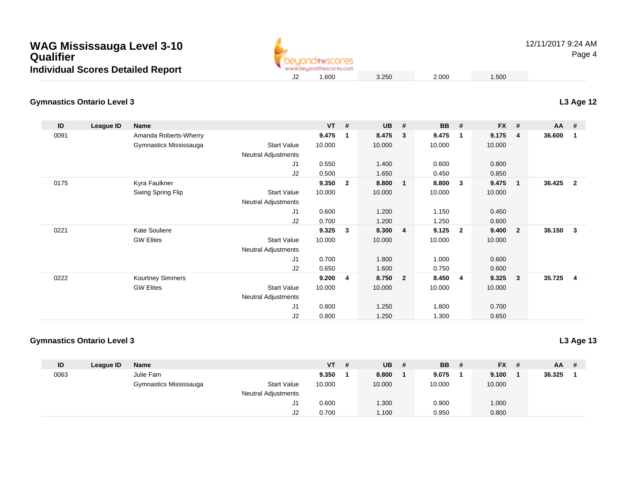| <b>WAG Mississauga Level 3-10</b>        |
|------------------------------------------|
| Qualifier                                |
| <b>Individual Scores Detailed Report</b> |



12/11/2017 9:24 AMPage 4

### **Gymnastics Ontario Level 3**

| ID   | League ID | Name                    |                     | <b>VT</b> | #              | <b>UB</b> | #                       | <b>BB</b> | #              | <b>FX</b> | #              | AA     | #              |
|------|-----------|-------------------------|---------------------|-----------|----------------|-----------|-------------------------|-----------|----------------|-----------|----------------|--------|----------------|
| 0091 |           | Amanda Roberts-Wherry   |                     | 9.475     | -1             | 8.475     | 3                       | 9.475     | -1             | 9.175     | 4              | 36.600 | 1              |
|      |           | Gymnastics Mississauga  | <b>Start Value</b>  | 10.000    |                | 10.000    |                         | 10.000    |                | 10.000    |                |        |                |
|      |           |                         | Neutral Adjustments |           |                |           |                         |           |                |           |                |        |                |
|      |           |                         | J <sub>1</sub>      | 0.550     |                | 1.400     |                         | 0.600     |                | 0.800     |                |        |                |
|      |           |                         | J2                  | 0.500     |                | 1.650     |                         | 0.450     |                | 0.850     |                |        |                |
| 0175 |           | Kyra Faulkner           |                     | 9.350     | $\overline{2}$ | 8.800     | $\overline{1}$          | 8.800     | 3              | 9.475     | $\mathbf{1}$   | 36.425 | $\overline{2}$ |
|      |           | Swing Spring Flip       | <b>Start Value</b>  | 10.000    |                | 10.000    |                         | 10.000    |                | 10.000    |                |        |                |
|      |           |                         | Neutral Adjustments |           |                |           |                         |           |                |           |                |        |                |
|      |           |                         | J1                  | 0.600     |                | 1.200     |                         | 1.150     |                | 0.450     |                |        |                |
|      |           |                         | J2                  | 0.700     |                | 1.200     |                         | 1.250     |                | 0.600     |                |        |                |
| 0221 |           | <b>Kate Souliere</b>    |                     | 9.325     | $\mathbf{3}$   | 8.300     | $\overline{\mathbf{4}}$ | 9.125     | $\overline{2}$ | 9.400     | $\overline{2}$ | 36.150 | 3              |
|      |           | <b>GW Elites</b>        | <b>Start Value</b>  | 10.000    |                | 10.000    |                         | 10.000    |                | 10.000    |                |        |                |
|      |           |                         | Neutral Adjustments |           |                |           |                         |           |                |           |                |        |                |
|      |           |                         | J1                  | 0.700     |                | 1.800     |                         | 1.000     |                | 0.600     |                |        |                |
|      |           |                         | J <sub>2</sub>      | 0.650     |                | 1.600     |                         | 0.750     |                | 0.600     |                |        |                |
| 0222 |           | <b>Kourtney Simmers</b> |                     | 9.200     | 4              | 8.750     | $\overline{\mathbf{2}}$ | 8.450     | 4              | 9.325     | $\mathbf{3}$   | 35.725 | -4             |
|      |           | <b>GW Elites</b>        | <b>Start Value</b>  | 10.000    |                | 10.000    |                         | 10.000    |                | 10.000    |                |        |                |
|      |           |                         | Neutral Adjustments |           |                |           |                         |           |                |           |                |        |                |
|      |           |                         | J1                  | 0.800     |                | 1.250     |                         | 1.800     |                | 0.700     |                |        |                |
|      |           |                         | J <sub>2</sub>      | 0.800     |                | 1.250     |                         | 1.300     |                | 0.650     |                |        |                |

#### **Gymnastics Ontario Level 3**

**L3 Age 13**

| ID   | Leaque ID | <b>Name</b>            |                            | <b>VT</b> | <b>UB</b> | - # | <b>BB</b> | -# | <b>FX</b> | # | <b>AA</b> | # |
|------|-----------|------------------------|----------------------------|-----------|-----------|-----|-----------|----|-----------|---|-----------|---|
| 0063 |           | Julie Fam              |                            | 9.350     | 8.800     |     | 9.075     |    | 9.100     |   | 36.325    |   |
|      |           | Gymnastics Mississauga | <b>Start Value</b>         | 10.000    | 10.000    |     | 10.000    |    | 10.000    |   |           |   |
|      |           |                        | <b>Neutral Adjustments</b> |           |           |     |           |    |           |   |           |   |
|      |           |                        | ال                         | 0.600     | .300      |     | 0.900     |    | 1.000     |   |           |   |
|      |           |                        | J2                         | 0.700     | 1.100     |     | 0.950     |    | 0.800     |   |           |   |

**L3 Age 12**